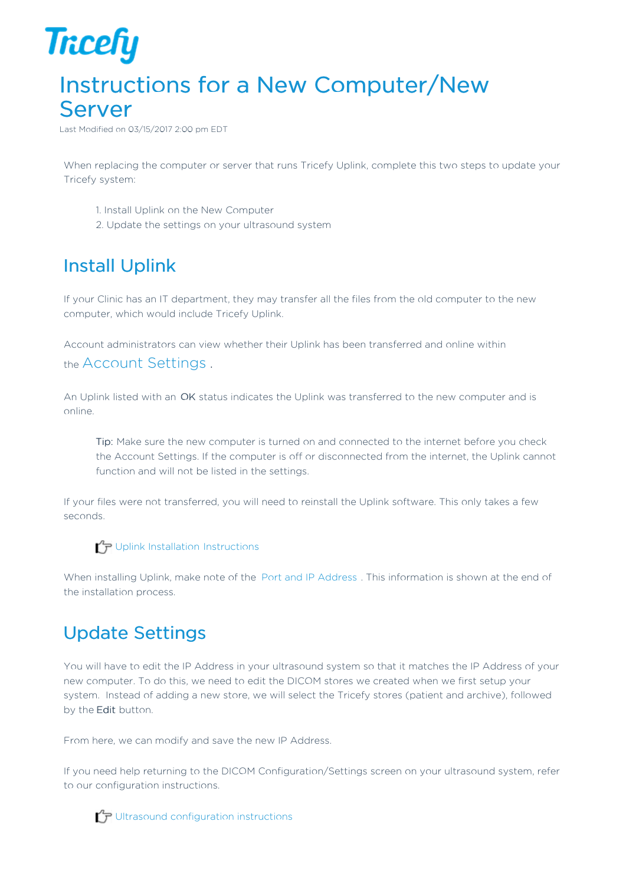

## Instructions for a New Computer/New Server

Last Modified on 03/15/2017 2:00 pm EDT

When replacing the computer or server that runs Tricefy Uplink, complete this two steps to update your Tricefy system:

- 1. Install Uplink on the New Computer
- 2. Update the settings on your ultrasound system

## Install Uplink

If your Clinic has an IT department, they may transfer all the files from the old computer to the new computer, which would include Tricefy Uplink.

Account administrators can view whether their Uplink has been transferred and online within the Account Settings .

An Uplink listed with an OK status indicates the Uplink was transferred to the new computer and is online.

Tip: Make sure the new computer is turned on and connected to the internet before you check the Account Settings. If the computer is off or disconnected from the internet, the Uplink cannot function and will not be listed in the settings.

If your files were not transferred, you will need to reinstall the Uplink software. This only takes a few seconds.

 $\mathcal{T}_{\overline{P}}$  Uplink Installation Instructions

When installing Uplink, make note of the Port and IP Address . This information is shown at the end of the installation process.

## Update Settings

You will have to edit the IP Address in your ultrasound system so that it matches the IP Address of your new computer. To do this, we need to edit the DICOM stores we created when we first setup your system. Instead of adding a new store, we will select the Tricefy stores (patient and archive), followed by the Edit button.

From here, we can modify and save the new IP Address.

If you need help returning to the DICOM Configuration/Settings screen on your ultrasound system, refer to our configuration instructions.